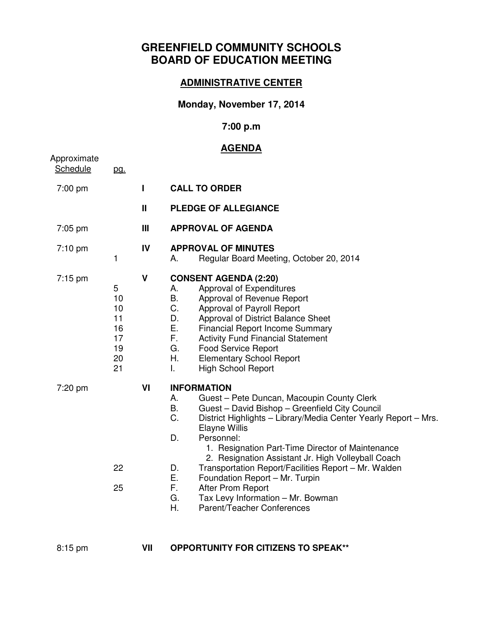# **GREENFIELD COMMUNITY SCHOOLS BOARD OF EDUCATION MEETING**

#### **ADMINISTRATIVE CENTER**

## **Monday, November 17, 2014**

#### **7:00 p.m**

## **AGENDA**

| Approximate<br>Schedule | <u>pg.</u>                                        |              | <u>, , , , , , , , ,</u>                                                                                                                                                                                                                                                                                                                                                                                                                                                                                                                                                |
|-------------------------|---------------------------------------------------|--------------|-------------------------------------------------------------------------------------------------------------------------------------------------------------------------------------------------------------------------------------------------------------------------------------------------------------------------------------------------------------------------------------------------------------------------------------------------------------------------------------------------------------------------------------------------------------------------|
| 7:00 pm                 |                                                   | П            | <b>CALL TO ORDER</b>                                                                                                                                                                                                                                                                                                                                                                                                                                                                                                                                                    |
|                         |                                                   | $\mathbf{H}$ | <b>PLEDGE OF ALLEGIANCE</b>                                                                                                                                                                                                                                                                                                                                                                                                                                                                                                                                             |
| $7:05$ pm               |                                                   | Ш            | <b>APPROVAL OF AGENDA</b>                                                                                                                                                                                                                                                                                                                                                                                                                                                                                                                                               |
| 7:10 pm                 | 1                                                 | IV           | <b>APPROVAL OF MINUTES</b><br>Regular Board Meeting, October 20, 2014<br>А.                                                                                                                                                                                                                                                                                                                                                                                                                                                                                             |
| $7:15$ pm               | 5<br>10<br>10<br>11<br>16<br>17<br>19<br>20<br>21 | $\mathbf v$  | <b>CONSENT AGENDA (2:20)</b><br>Approval of Expenditures<br>А.<br>Approval of Revenue Report<br>Β.<br>C.<br>Approval of Payroll Report<br>D.<br>Approval of District Balance Sheet<br>Ε.<br><b>Financial Report Income Summary</b><br>F.<br><b>Activity Fund Financial Statement</b><br>G.<br><b>Food Service Report</b><br>Η.<br><b>Elementary School Report</b><br><b>High School Report</b><br>L.                                                                                                                                                                    |
| 7:20 pm                 | 22<br>25                                          | VI           | <b>INFORMATION</b><br>Α.<br>Guest - Pete Duncan, Macoupin County Clerk<br>Guest - David Bishop - Greenfield City Council<br>B.<br>C.<br>District Highlights - Library/Media Center Yearly Report - Mrs.<br>Elayne Willis<br>Personnel:<br>D.<br>1. Resignation Part-Time Director of Maintenance<br>2. Resignation Assistant Jr. High Volleyball Coach<br>Transportation Report/Facilities Report - Mr. Walden<br>D.<br>Ε.<br>Foundation Report - Mr. Turpin<br>F.,<br>After Prom Report<br>Tax Levy Information - Mr. Bowman<br>G.<br>Η.<br>Parent/Teacher Conferences |

- 
- 8:15 pm **VII OPPORTUNITY FOR CITIZENS TO SPEAK\*\***